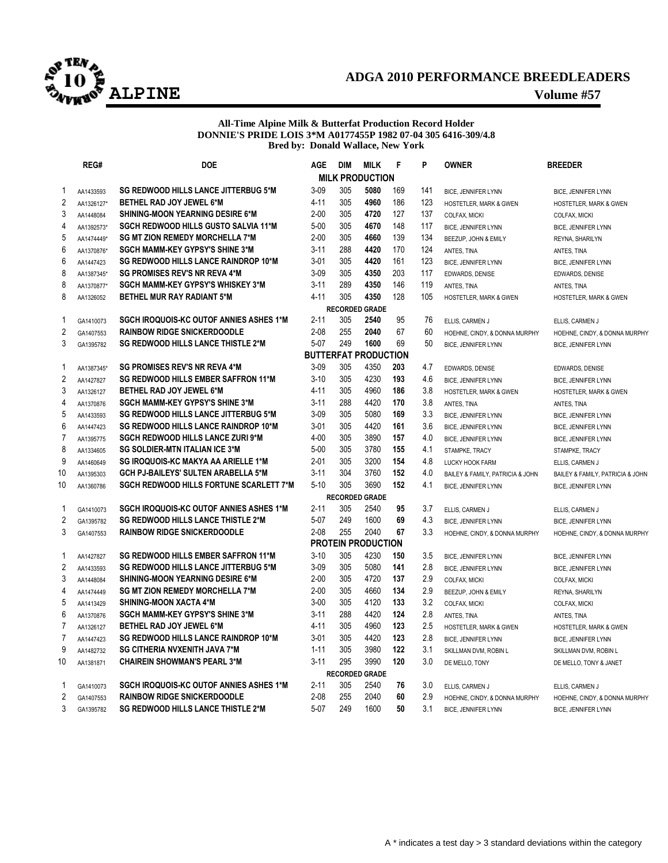

## **ADGA 2010 PERFORMANCE BREEDLEADERS ALPINE Volume #57**

### **All-Time Alpine Milk & Butterfat Production Record Holder DONNIE'S PRIDE LOIS 3\*M A0177455P 1982 07-04 305 6416-309/4.8 Bred by: Donald Wallace, New York**

|                         | REG#                   | <b>DOE</b>                                     | <b>AGE</b>           | <b>DIM</b> | <b>MILK</b>                 | F        | P   | <b>OWNER</b>                                      | <b>BREEDER</b>                       |  |  |  |
|-------------------------|------------------------|------------------------------------------------|----------------------|------------|-----------------------------|----------|-----|---------------------------------------------------|--------------------------------------|--|--|--|
|                         |                        |                                                |                      |            | <b>MILK PRODUCTION</b>      |          |     |                                                   |                                      |  |  |  |
| 1                       | AA1433593              | <b>SG REDWOOD HILLS LANCE JITTERBUG 5*M</b>    | $3 - 09$             | 305        | 5080                        | 169      | 141 | <b>BICE, JENNIFER LYNN</b>                        | BICE, JENNIFER LYNN                  |  |  |  |
| $\overline{c}$          | AA1326127*             | BETHEL RAD JOY JEWEL 6*M                       | $4 - 11$             | 305        | 4960                        | 186      | 123 | HOSTETLER, MARK & GWEN                            | HOSTETLER, MARK & GWEN               |  |  |  |
| 3                       | AA1448084              | <b>SHINING-MOON YEARNING DESIRE 6*M</b>        | $2 - 00$             | 305        | 4720                        | 127      | 137 | COLFAX, MICKI                                     | COLFAX, MICKI                        |  |  |  |
| 4                       | AA1392573*             | <b>SGCH REDWOOD HILLS GUSTO SALVIA 11*M</b>    | $5 - 00$             | 305        | 4670                        | 148      | 117 | BICE, JENNIFER LYNN                               | BICE, JENNIFER LYNN                  |  |  |  |
| 5                       | AA1474449*             | <b>SG MT ZION REMEDY MORCHELLA 7*M</b>         | $2 - 00$             | 305        | 4660                        | 139      | 134 | BEEZUP, JOHN & EMILY                              | REYNA, SHARILYN                      |  |  |  |
| $6\phantom{a}$          | AA1370876*             | <b>SGCH MAMM-KEY GYPSY'S SHINE 3*M</b>         | $3 - 11$             | 288        | 4420                        | 170      | 124 | ANTES, TINA                                       | ANTES, TINA                          |  |  |  |
| 6                       | AA1447423              | <b>SG REDWOOD HILLS LANCE RAINDROP 10*M</b>    | $3 - 01$             | 305        | 4420                        | 161      | 123 | BICE, JENNIFER LYNN                               | BICE, JENNIFER LYNN                  |  |  |  |
| 8                       | AA1387345*             | <b>SG PROMISES REV'S NR REVA 4*M</b>           | $3-09$               | 305        | 4350                        | 203      | 117 | EDWARDS, DENISE                                   | EDWARDS, DENISE                      |  |  |  |
| 8                       | AA1370877*             | <b>SGCH MAMM-KEY GYPSY'S WHISKEY 3*M</b>       | $3 - 11$             | 289        | 4350                        | 146      | 119 | ANTES, TINA                                       | ANTES, TINA                          |  |  |  |
| 8                       | AA1326052              | <b>BETHEL MUR RAY RADIANT 5*M</b>              | $4 - 11$             | 305        | 4350                        | 128      | 105 | HOSTETLER, MARK & GWEN                            | HOSTETLER, MARK & GWEN               |  |  |  |
|                         |                        |                                                |                      |            | <b>RECORDED GRADE</b>       |          |     |                                                   |                                      |  |  |  |
| 1                       | GA1410073              | <b>SGCH IROQUOIS-KC OUTOF ANNIES ASHES 1*M</b> | $2 - 11$             | 305        | 2540                        | 95       | 76  | ELLIS, CARMEN J                                   | ELLIS, CARMEN J                      |  |  |  |
| $\sqrt{2}$              | GA1407553              | <b>RAINBOW RIDGE SNICKERDOODLE</b>             | $2 - 08$             | 255        | 2040                        | 67       | 60  | HOEHNE, CINDY, & DONNA MURPHY                     | HOEHNE, CINDY, & DONNA MURPHY        |  |  |  |
| 3                       | GA1395782              | <b>SG REDWOOD HILLS LANCE THISTLE 2*M</b>      | $5 - 07$             | 249        | 1600                        | 69       | 50  | BICE, JENNIFER LYNN                               | BICE, JENNIFER LYNN                  |  |  |  |
|                         |                        |                                                |                      |            | <b>BUTTERFAT PRODUCTION</b> |          |     |                                                   |                                      |  |  |  |
| 1                       | AA1387345*             | <b>SG PROMISES REV'S NR REVA 4*M</b>           | $3 - 09$             | 305        | 4350                        | 203      | 4.7 | EDWARDS, DENISE                                   | EDWARDS, DENISE                      |  |  |  |
| $\sqrt{2}$              | AA1427827              | <b>SG REDWOOD HILLS EMBER SAFFRON 11*M</b>     | $3 - 10$             | 305        | 4230                        | 193      | 4.6 | <b>BICE, JENNIFER LYNN</b>                        | <b>BICE, JENNIFER LYNN</b>           |  |  |  |
| 3                       | AA1326127              | BETHEL RAD JOY JEWEL 6*M                       | $4 - 11$             | 305        | 4960                        | 186      | 3.8 | <b>HOSTETLER, MARK &amp; GWEN</b>                 | HOSTETLER, MARK & GWEN               |  |  |  |
| 4                       | AA1370876              | <b>SGCH MAMM-KEY GYPSY'S SHINE 3*M</b>         | $3 - 11$             | 288        | 4420                        | 170      | 3.8 | ANTES, TINA                                       | ANTES, TINA                          |  |  |  |
| 5                       | AA1433593              | <b>SG REDWOOD HILLS LANCE JITTERBUG 5*M</b>    | $3 - 09$             | 305        | 5080                        | 169      | 3.3 | BICE, JENNIFER LYNN                               | BICE, JENNIFER LYNN                  |  |  |  |
| $6\phantom{a}$          | AA1447423              | <b>SG REDWOOD HILLS LANCE RAINDROP 10*M</b>    | $3 - 01$             | 305        | 4420                        | 161      | 3.6 | <b>BICE, JENNIFER LYNN</b>                        | <b>BICE, JENNIFER LYNN</b>           |  |  |  |
| $\overline{7}$          | AA1395775              | <b>SGCH REDWOOD HILLS LANCE ZURI 9*M</b>       | $4 - 00$             | 305        | 3890                        | 157      | 4.0 | <b>BICE, JENNIFER LYNN</b>                        | BICE, JENNIFER LYNN                  |  |  |  |
| 8                       | AA1334605              | <b>SG SOLDIER-MTN ITALIAN ICE 3*M</b>          | $5-00$               | 305        | 3780                        | 155      | 4.1 | STAMPKE, TRACY                                    | STAMPKE, TRACY                       |  |  |  |
| 9                       | AA1460649              | SG IROQUOIS-KC MAKYA AA ARIELLE 1*M            | $2 - 01$             | 305        | 3200                        | 154      | 4.8 | <b>LUCKY HOOK FARM</b>                            | ELLIS, CARMEN J                      |  |  |  |
| 10                      | AA1395303              | <b>GCH PJ-BAILEYS' SULTEN ARABELLA 5*M</b>     | $3 - 11$             | 304        | 3760                        | 152      | 4.0 | BAILEY & FAMILY, PATRICIA & JOHN                  | BAILEY & FAMILY, PATRICIA & JOHN     |  |  |  |
| 10                      | AA1360786              | <b>SGCH REDWOOD HILLS FORTUNE SCARLETT 7*M</b> | $5 - 10$             | 305        | 3690                        | 152      | 4.1 | BICE, JENNIFER LYNN                               | BICE, JENNIFER LYNN                  |  |  |  |
|                         |                        |                                                |                      |            | <b>RECORDED GRADE</b>       |          |     |                                                   |                                      |  |  |  |
| 1                       | GA1410073              | <b>SGCH IROQUOIS-KC OUTOF ANNIES ASHES 1*M</b> | $2 - 11$<br>$5 - 07$ | 305<br>249 | 2540<br>1600                | 95<br>69 | 3.7 | ELLIS, CARMEN J                                   | ELLIS, CARMEN J                      |  |  |  |
| $\sqrt{2}$<br>3         | GA1395782              | <b>SG REDWOOD HILLS LANCE THISTLE 2*M</b>      | $2 - 08$             | 255        | 2040                        | 67       | 4.3 | <b>BICE, JENNIFER LYNN</b>                        | <b>BICE, JENNIFER LYNN</b>           |  |  |  |
|                         | GA1407553              | <b>RAINBOW RIDGE SNICKERDOODLE</b>             |                      |            | <b>PROTEIN PRODUCTION</b>   |          | 3.3 | HOEHNE, CINDY, & DONNA MURPHY                     | HOEHNE, CINDY, & DONNA MURPHY        |  |  |  |
| 1                       |                        | <b>SG REDWOOD HILLS EMBER SAFFRON 11*M</b>     | $3 - 10$             | 305        | 4230                        | 150      | 3.5 |                                                   |                                      |  |  |  |
| $\overline{\mathbf{c}}$ | AA1427827<br>AA1433593 | <b>SG REDWOOD HILLS LANCE JITTERBUG 5*M</b>    | $3 - 09$             | 305        | 5080                        | 141      | 2.8 | <b>BICE, JENNIFER LYNN</b><br>BICE, JENNIFER LYNN | <b>BICE, JENNIFER LYNN</b>           |  |  |  |
| 3                       | AA1448084              | SHINING-MOON YEARNING DESIRE 6*M               | $2 - 00$             | 305        | 4720                        | 137      | 2.9 | COLFAX, MICKI                                     | BICE, JENNIFER LYNN<br>COLFAX, MICKI |  |  |  |
| $\overline{\mathbf{4}}$ | AA1474449              | <b>SG MT ZION REMEDY MORCHELLA 7*M</b>         | $2 - 00$             | 305        | 4660                        | 134      | 2.9 | BEEZUP, JOHN & EMILY                              |                                      |  |  |  |
| 5                       | AA1413429              | <b>SHINING-MOON XACTA 4*M</b>                  | $3 - 00$             | 305        | 4120                        | 133      | 3.2 | COLFAX, MICKI                                     | REYNA, SHARILYN<br>COLFAX, MICKI     |  |  |  |
| $6\phantom{a}$          | AA1370876              | <b>SGCH MAMM-KEY GYPSY'S SHINE 3*M</b>         | $3 - 11$             | 288        | 4420                        | 124      | 2.8 | ANTES, TINA                                       | ANTES, TINA                          |  |  |  |
| $\overline{7}$          | AA1326127              | BETHEL RAD JOY JEWEL 6*M                       | $4 - 11$             | 305        | 4960                        | 123      | 2.5 | HOSTETLER, MARK & GWEN                            | HOSTETLER, MARK & GWEN               |  |  |  |
| $\overline{7}$          | AA1447423              | SG REDWOOD HILLS LANCE RAINDROP 10*M           | $3 - 01$             | 305        | 4420                        | 123      | 2.8 | BICE, JENNIFER LYNN                               | BICE, JENNIFER LYNN                  |  |  |  |
| 9                       | AA1482732              | <b>SG CITHERIA NVXENITH JAVA 7*M</b>           | $1 - 11$             | 305        | 3980                        | 122      | 3.1 | SKILLMAN DVM, ROBIN L                             | SKILLMAN DVM, ROBIN L                |  |  |  |
| 10                      | AA1381871              | <b>CHAIREIN SHOWMAN'S PEARL 3*M</b>            | $3 - 11$             | 295        | 3990                        | 120      | 3.0 | DE MELLO, TONY                                    | DE MELLO, TONY & JANET               |  |  |  |
|                         | <b>RECORDED GRADE</b>  |                                                |                      |            |                             |          |     |                                                   |                                      |  |  |  |
| 1                       | GA1410073              | <b>SGCH IROQUOIS-KC OUTOF ANNIES ASHES 1*M</b> | $2 - 11$             | 305        | 2540                        | 76       | 3.0 | ELLIS, CARMEN J                                   | ELLIS, CARMEN J                      |  |  |  |
| 2                       | GA1407553              | <b>RAINBOW RIDGE SNICKERDOODLE</b>             | $2 - 08$             | 255        | 2040                        | 60       | 2.9 | HOEHNE, CINDY, & DONNA MURPHY                     | HOEHNE, CINDY, & DONNA MURPHY        |  |  |  |
| 3                       | GA1395782              | <b>SG REDWOOD HILLS LANCE THISTLE 2*M</b>      | $5 - 07$             | 249        | 1600                        | 50       | 3.1 | <b>BICE, JENNIFER LYNN</b>                        | <b>BICE, JENNIFER LYNN</b>           |  |  |  |
|                         |                        |                                                |                      |            |                             |          |     |                                                   |                                      |  |  |  |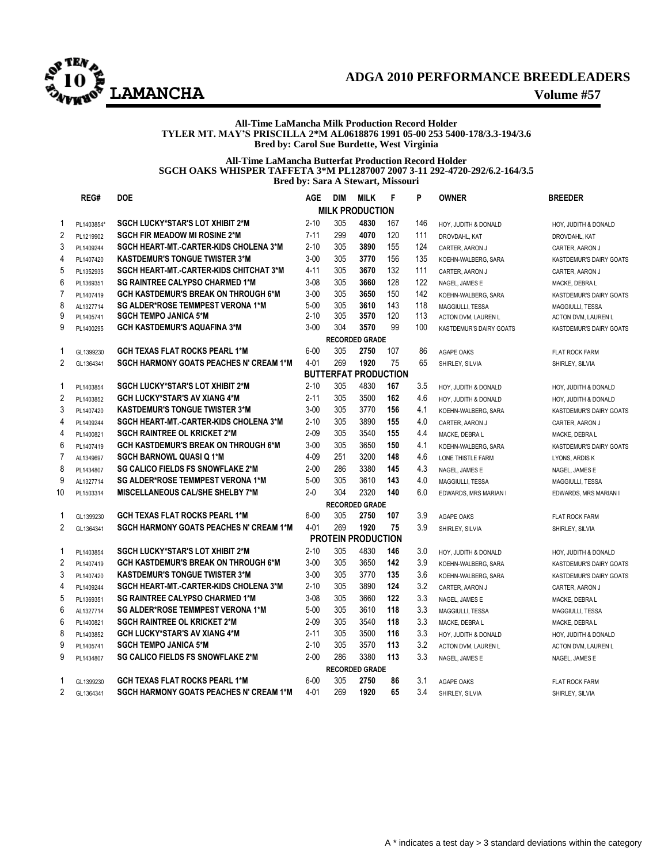

## **ADGA 2010 PERFORMANCE BREEDLEADERS LAMANCHA Volume #57**

### **All-Time LaMancha Milk Production Record Holder TYLER MT. MAY'S PRISCILLA 2\*M AL0618876 1991 05-00 253 5400-178/3.3-194/3.6 Bred by: Carol Sue Burdette, West Virginia**

### **All-Time LaMancha Butterfat Production Record Holder SGCH OAKS WHISPER TAFFETA 3\*M PL1287007 2007 3-11 292-4720-292/6.2-164/3.5 Bred by: Sara A Stewart, Missouri**

|                | REG#                  | <b>DOE</b>                                     | <b>AGE</b> | <b>DIM</b> | <b>MILK</b>                 | F   | P   | <b>OWNER</b>            | <b>BREEDER</b>          |  |  |  |  |
|----------------|-----------------------|------------------------------------------------|------------|------------|-----------------------------|-----|-----|-------------------------|-------------------------|--|--|--|--|
|                |                       |                                                |            |            | <b>MILK PRODUCTION</b>      |     |     |                         |                         |  |  |  |  |
| 1              | PL1403854*            | <b>SGCH LUCKY*STAR'S LOT XHIBIT 2*M</b>        | $2 - 10$   | 305        | 4830                        | 167 | 146 | HOY, JUDITH & DONALD    | HOY, JUDITH & DONALD    |  |  |  |  |
| $\overline{2}$ | PL1219902             | <b>SGCH FIR MEADOW MI ROSINE 2*M</b>           | $7 - 11$   | 299        | 4070                        | 120 | 111 | DROVDAHL, KAT           | DROVDAHL, KAT           |  |  |  |  |
| 3              | PL1409244             | <b>SGCH HEART-MT.-CARTER-KIDS CHOLENA 3*M</b>  | $2 - 10$   | 305        | 3890                        | 155 | 124 | CARTER, AARON J         | CARTER, AARON J         |  |  |  |  |
| 4              | PL1407420             | <b>KASTDEMUR'S TONGUE TWISTER 3*M</b>          | $3 - 00$   | 305        | 3770                        | 156 | 135 | KOEHN-WALBERG, SARA     | KASTDEMUR'S DAIRY GOATS |  |  |  |  |
| 5              | PL1352935             | SGCH HEART-MT.-CARTER-KIDS CHITCHAT 3*M        | $4 - 11$   | 305        | 3670                        | 132 | 111 | CARTER, AARON J         | CARTER, AARON J         |  |  |  |  |
| 6              | PL1369351             | <b>SG RAINTREE CALYPSO CHARMED 1*M</b>         | $3 - 08$   | 305        | 3660                        | 128 | 122 | NAGEL, JAMES E          | MACKE. DEBRA L          |  |  |  |  |
| $\overline{7}$ | PL1407419             | <b>GCH KASTDEMUR'S BREAK ON THROUGH 6*M</b>    | $3 - 00$   | 305        | 3650                        | 150 | 142 | KOEHN-WALBERG, SARA     | KASTDEMUR'S DAIRY GOATS |  |  |  |  |
| 8              | AL1327714             | SG ALDER*ROSE TEMMPEST VERONA 1*M              | $5 - 00$   | 305        | 3610                        | 143 | 118 | MAGGIULLI, TESSA        | MAGGIULLI, TESSA        |  |  |  |  |
| 9              | PL1405741             | <b>SGCH TEMPO JANICA 5*M</b>                   | $2 - 10$   | 305        | 3570                        | 120 | 113 | ACTON DVM, LAUREN L     | ACTON DVM, LAUREN L     |  |  |  |  |
| 9              | PL1400295             | <b>GCH KASTDEMUR'S AQUAFINA 3*M</b>            | $3 - 00$   | 304        | 3570                        | 99  | 100 | KASTDEMUR'S DAIRY GOATS | KASTDEMUR'S DAIRY GOATS |  |  |  |  |
|                | <b>RECORDED GRADE</b> |                                                |            |            |                             |     |     |                         |                         |  |  |  |  |
| 1              | GL1399230             | <b>GCH TEXAS FLAT ROCKS PEARL 1*M</b>          | $6 - 00$   | 305        | 2750                        | 107 | 86  | <b>AGAPE OAKS</b>       | <b>FLAT ROCK FARM</b>   |  |  |  |  |
| $\overline{2}$ | GL1364341             | <b>SGCH HARMONY GOATS PEACHES N' CREAM 1*M</b> | $4 - 01$   | 269        | 1920                        | 75  | 65  | SHIRLEY, SILVIA         | SHIRLEY, SILVIA         |  |  |  |  |
|                |                       |                                                |            |            | <b>BUTTERFAT PRODUCTION</b> |     |     |                         |                         |  |  |  |  |
| 1              | PL1403854             | <b>SGCH LUCKY*STAR'S LOT XHIBIT 2*M</b>        | $2 - 10$   | 305        | 4830                        | 167 | 3.5 | HOY, JUDITH & DONALD    | HOY, JUDITH & DONALD    |  |  |  |  |
| $\overline{c}$ | PL1403852             | <b>GCH LUCKY*STAR'S AV XIANG 4*M</b>           | $2 - 11$   | 305        | 3500                        | 162 | 4.6 | HOY, JUDITH & DONALD    | HOY, JUDITH & DONALD    |  |  |  |  |
| 3              | PL1407420             | <b>KASTDEMUR'S TONGUE TWISTER 3*M</b>          | $3 - 00$   | 305        | 3770                        | 156 | 4.1 | KOEHN-WALBERG, SARA     | KASTDEMUR'S DAIRY GOATS |  |  |  |  |
| $\overline{4}$ | PL1409244             | <b>SGCH HEART-MT.-CARTER-KIDS CHOLENA 3*M</b>  | $2 - 10$   | 305        | 3890                        | 155 | 4.0 | CARTER, AARON J         | CARTER, AARON J         |  |  |  |  |
| 4              | PL1400821             | <b>SGCH RAINTREE OL KRICKET 2*M</b>            | $2 - 09$   | 305        | 3540                        | 155 | 4.4 | MACKE, DEBRA L          | MACKE, DEBRA L          |  |  |  |  |
| 6              | PL1407419             | <b>GCH KASTDEMUR'S BREAK ON THROUGH 6*M</b>    | $3 - 00$   | 305        | 3650                        | 150 | 4.1 | KOEHN-WALBERG, SARA     | KASTDEMUR'S DAIRY GOATS |  |  |  |  |
| $\overline{7}$ | AL1349697             | <b>SGCH BARNOWL QUASI Q 1*M</b>                | $4 - 09$   | 251        | 3200                        | 148 | 4.6 | LONE THISTLE FARM       | LYONS, ARDIS K          |  |  |  |  |
| 8              | PL1434807             | <b>SG CALICO FIELDS FS SNOWFLAKE 2*M</b>       | $2 - 00$   | 286        | 3380                        | 145 | 4.3 | NAGEL, JAMES E          | NAGEL, JAMES E          |  |  |  |  |
| 9              | AL1327714             | SG ALDER*ROSE TEMMPEST VERONA 1*M              | $5 - 00$   | 305        | 3610                        | 143 | 4.0 | MAGGIULLI, TESSA        | MAGGIULLI, TESSA        |  |  |  |  |
| 10             | PL1503314             | <b>MISCELLANEOUS CAL/SHE SHELBY 7*M</b>        | $2 - 0$    | 304        | 2320                        | 140 | 6.0 | EDWARDS, MRS MARIAN I   | EDWARDS, MRS MARIAN I   |  |  |  |  |
|                |                       |                                                |            |            | <b>RECORDED GRADE</b>       |     |     |                         |                         |  |  |  |  |
| 1              | GL1399230             | <b>GCH TEXAS FLAT ROCKS PEARL 1*M</b>          | $6 - 00$   | 305        | 2750                        | 107 | 3.9 | <b>AGAPE OAKS</b>       | <b>FLAT ROCK FARM</b>   |  |  |  |  |
| $\overline{2}$ | GL1364341             | <b>SGCH HARMONY GOATS PEACHES N' CREAM 1*M</b> | $4 - 01$   | 269        | 1920                        | 75  | 3.9 | SHIRLEY, SILVIA         | SHIRLEY, SILVIA         |  |  |  |  |
|                |                       |                                                |            |            | <b>PROTEIN PRODUCTION</b>   |     |     |                         |                         |  |  |  |  |
| 1              | PL1403854             | <b>SGCH LUCKY*STAR'S LOT XHIBIT 2*M</b>        | $2 - 10$   | 305        | 4830                        | 146 | 3.0 | HOY, JUDITH & DONALD    | HOY, JUDITH & DONALD    |  |  |  |  |
| $\overline{2}$ | PL1407419             | <b>GCH KASTDEMUR'S BREAK ON THROUGH 6*M</b>    | $3 - 00$   | 305        | 3650                        | 142 | 3.9 | KOEHN-WALBERG, SARA     | KASTDEMUR'S DAIRY GOATS |  |  |  |  |
| 3              | PL1407420             | <b>KASTDEMUR'S TONGUE TWISTER 3*M</b>          | $3 - 00$   | 305        | 3770                        | 135 | 3.6 | KOEHN-WALBERG, SARA     | KASTDEMUR'S DAIRY GOATS |  |  |  |  |
| 4              | PL1409244             | <b>SGCH HEART-MT.-CARTER-KIDS CHOLENA 3*M</b>  | $2 - 10$   | 305        | 3890                        | 124 | 3.2 | CARTER, AARON J         | CARTER, AARON J         |  |  |  |  |
| 5              | PL1369351             | <b>SG RAINTREE CALYPSO CHARMED 1*M</b>         | $3 - 08$   | 305        | 3660                        | 122 | 3.3 | NAGEL. JAMES E          | MACKE, DEBRA L          |  |  |  |  |
| 6              | AL1327714             | SG ALDER*ROSE TEMMPEST VERONA 1*M              | $5 - 00$   | 305        | 3610                        | 118 | 3.3 | MAGGIULLI, TESSA        | MAGGIULLI, TESSA        |  |  |  |  |
| 6              | PL1400821             | <b>SGCH RAINTREE OL KRICKET 2*M</b>            | $2 - 09$   | 305        | 3540                        | 118 | 3.3 | MACKE, DEBRA L          | MACKE, DEBRA L          |  |  |  |  |
| 8              | PL1403852             | <b>GCH LUCKY*STAR'S AV XIANG 4*M</b>           | $2 - 11$   | 305        | 3500                        | 116 | 3.3 | HOY, JUDITH & DONALD    | HOY, JUDITH & DONALD    |  |  |  |  |
| 9              | PL1405741             | <b>SGCH TEMPO JANICA 5*M</b>                   | $2 - 10$   | 305        | 3570                        | 113 | 3.2 | ACTON DVM, LAUREN L     | ACTON DVM, LAUREN L     |  |  |  |  |
| 9              | PL1434807             | SG CALICO FIELDS FS SNOWFLAKE 2*M              | $2 - 00$   | 286        | 3380                        | 113 | 3.3 | NAGEL. JAMES E          | NAGEL, JAMES E          |  |  |  |  |
|                | <b>RECORDED GRADE</b> |                                                |            |            |                             |     |     |                         |                         |  |  |  |  |
| 1              | GL1399230             | <b>GCH TEXAS FLAT ROCKS PEARL 1*M</b>          | $6 - 00$   | 305        | 2750                        | 86  | 3.1 | AGAPE OAKS              | <b>FLAT ROCK FARM</b>   |  |  |  |  |
| 2              | GL1364341             | <b>SGCH HARMONY GOATS PEACHES N' CREAM 1*M</b> | $4 - 01$   | 269        | 1920                        | 65  | 3.4 | SHIRLEY, SILVIA         | SHIRLEY, SILVIA         |  |  |  |  |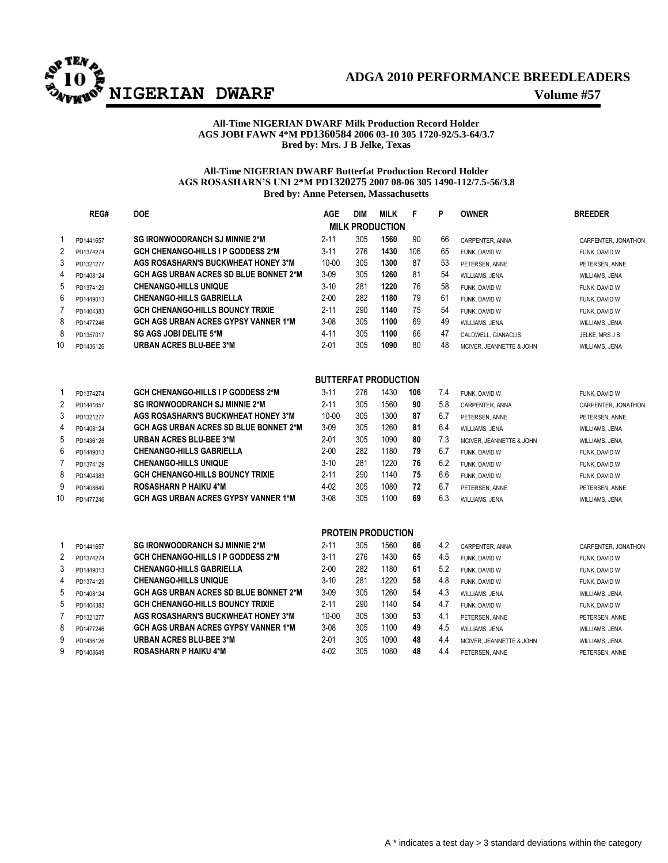

## **ADGA 2010 PERFORMANCE BREEDLEADERS**

## **All-Time NIGERIAN DWARF Milk Production Record Holder AGS JOBI FAWN 4\*M PD1360584 2006 03-10 305 1720-92/5.3-64/3.7 Bred by: Mrs. J B Jelke, Texas**

## **All-Time NIGERIAN DWARF Butterfat Production Record Holder AGS ROSASHARN'S UNI 2\*M PD1320275 2007 08-06 305 1490-112/7.5-56/3.8 Bred by: Anne Petersen, Massachusetts**

|                | REG#      | <b>DOE</b>                                    | AGE                         | <b>DIM</b> | <b>MILK</b>               | F   | P   | <b>OWNER</b>             | <b>BREEDER</b>      |
|----------------|-----------|-----------------------------------------------|-----------------------------|------------|---------------------------|-----|-----|--------------------------|---------------------|
|                |           |                                               |                             |            | <b>MILK PRODUCTION</b>    |     |     |                          |                     |
| 1              | PD1441657 | <b>SG IRONWOODRANCH SJ MINNIE 2*M</b>         | $2 - 11$                    | 305        | 1560                      | 90  | 66  | CARPENTER, ANNA          | CARPENTER, JONATHON |
| $\overline{2}$ | PD1374274 | <b>GCH CHENANGO-HILLS I P GODDESS 2*M</b>     | $3 - 11$                    | 276        | 1430                      | 106 | 65  | FUNK, DAVID W            | FUNK, DAVID W       |
| 3              | PD1321277 | AGS ROSASHARN'S BUCKWHEAT HONEY 3*M           | $10 - 00$                   | 305        | 1300                      | 87  | 53  | PETERSEN, ANNE           | PETERSEN, ANNE      |
| $\overline{4}$ | PD1408124 | <b>GCH AGS URBAN ACRES SD BLUE BONNET 2*M</b> | $3-09$                      | 305        | 1260                      | 81  | 54  | WILLIAMS, JENA           | WILLIAMS, JENA      |
| 5              | PD1374129 | <b>CHENANGO-HILLS UNIQUE</b>                  | $3 - 10$                    | 281        | 1220                      | 76  | 58  | FUNK, DAVID W            | FUNK, DAVID W       |
| 6              | PD1449013 | <b>CHENANGO-HILLS GABRIELLA</b>               | $2 - 00$                    | 282        | 1180                      | 79  | 61  | FUNK, DAVID W            | FUNK, DAVID W       |
| $\overline{7}$ | PD1404383 | <b>GCH CHENANGO-HILLS BOUNCY TRIXIE</b>       | $2 - 11$                    | 290        | 1140                      | 75  | 54  | FUNK, DAVID W            | FUNK, DAVID W       |
| 8              | PD1477246 | <b>GCH AGS URBAN ACRES GYPSY VANNER 1*M</b>   | $3 - 08$                    | 305        | 1100                      | 69  | 49  | WILLIAMS, JENA           | WILLIAMS, JENA      |
| 8              | PD1357017 | <b>SG AGS JOBI DELITE 5*M</b>                 | $4 - 11$                    | 305        | 1100                      | 66  | 47  | CALDWELL, GIANACLIS      | JELKE, MRS J B      |
| 10             | PD1436126 | <b>URBAN ACRES BLU-BEE 3*M</b>                | $2 - 01$                    | 305        | 1090                      | 80  | 48  | MCIVER, JEANNETTE & JOHN | WILLIAMS, JENA      |
|                |           |                                               | <b>BUTTERFAT PRODUCTION</b> |            |                           |     |     |                          |                     |
| 1              | PD1374274 | <b>GCH CHENANGO-HILLS I P GODDESS 2*M</b>     | $3 - 11$                    | 276        | 1430                      | 106 | 7.4 | FUNK, DAVID W            | FUNK, DAVID W       |
| 2              | PD1441657 | <b>SG IRONWOODRANCH SJ MINNIE 2*M</b>         | $2 - 11$                    | 305        | 1560                      | 90  | 5.8 | CARPENTER, ANNA          | CARPENTER, JONATHON |
| 3              | PD1321277 | AGS ROSASHARN'S BUCKWHEAT HONEY 3*M           | $10 - 00$                   | 305        | 1300                      | 87  | 6.7 | PETERSEN, ANNE           | PETERSEN, ANNE      |
| 4              | PD1408124 | <b>GCH AGS URBAN ACRES SD BLUE BONNET 2*M</b> | $3 - 09$                    | 305        | 1260                      | 81  | 6.4 | WILLIAMS, JENA           | WILLIAMS, JENA      |
| 5              | PD1436126 | <b>URBAN ACRES BLU-BEE 3*M</b>                | $2 - 01$                    | 305        | 1090                      | 80  | 7.3 | MCIVER, JEANNETTE & JOHN | WILLIAMS, JENA      |
| 6              | PD1449013 | <b>CHENANGO-HILLS GABRIELLA</b>               | $2 - 00$                    | 282        | 1180                      | 79  | 6.7 | FUNK. DAVID W            | FUNK, DAVID W       |
| $\overline{7}$ | PD1374129 | <b>CHENANGO-HILLS UNIQUE</b>                  | $3 - 10$                    | 281        | 1220                      | 76  | 6.2 | FUNK, DAVID W            | FUNK, DAVID W       |
| 8              | PD1404383 | GCH CHENANGO-HILLS BOUNCY TRIXIE              | 2-11                        | 290        | 1140                      | 75  | 6.6 | FUNK, DAVID W            | FUNK, DAVID W       |
| 9              | PD1408649 | <b>ROSASHARN P HAIKU 4*M</b>                  | $4 - 02$                    | 305        | 1080                      | 72  | 6.7 | PETERSEN, ANNE           | PETERSEN, ANNE      |
| 10             | PD1477246 | <b>GCH AGS URBAN ACRES GYPSY VANNER 1*M</b>   | $3 - 08$                    | 305        | 1100                      | 69  | 6.3 | WILLIAMS, JENA           | WILLIAMS, JENA      |
|                |           |                                               |                             |            | <b>PROTEIN PRODUCTION</b> |     |     |                          |                     |
| $\mathbf 1$    | PD1441657 | <b>SG IRONWOODRANCH SJ MINNIE 2*M</b>         | $2 - 11$                    | 305        | 1560                      | 66  | 4.2 | CARPENTER, ANNA          | CARPENTER, JONATHON |
| $\sqrt{2}$     | PD1374274 | <b>GCH CHENANGO-HILLS I P GODDESS 2*M</b>     | $3 - 11$                    | 276        | 1430                      | 65  | 4.5 | FUNK, DAVID W            | FUNK, DAVID W       |
| 3              | PD1449013 | <b>CHENANGO-HILLS GABRIELLA</b>               | $2 - 00$                    | 282        | 1180                      | 61  | 5.2 | FUNK, DAVID W            | FUNK, DAVID W       |
| 4              | PD1374129 | <b>CHENANGO-HILLS UNIQUE</b>                  | $3 - 10$                    | 281        | 1220                      | 58  | 4.8 | FUNK, DAVID W            | FUNK, DAVID W       |
| 5              | PD1408124 | <b>GCH AGS URBAN ACRES SD BLUE BONNET 2*M</b> | $3 - 09$                    | 305        | 1260                      | 54  | 4.3 | WILLIAMS, JENA           | WILLIAMS, JENA      |
| 5              | PD1404383 | <b>GCH CHENANGO-HILLS BOUNCY TRIXIE</b>       | 2-11                        | 290        | 1140                      | 54  | 4.7 | FUNK, DAVID W            | FUNK, DAVID W       |
| $\overline{7}$ | PD1321277 | <b>AGS ROSASHARN'S BUCKWHEAT HONEY 3*M</b>    | $10 - 00$                   | 305        | 1300                      | 53  | 4.1 | PETERSEN, ANNE           | PETERSEN, ANNE      |
| 8              | PD1477246 | <b>GCH AGS URBAN ACRES GYPSY VANNER 1*M</b>   | $3 - 08$                    | 305        | 1100                      | 49  | 4.5 | WILLIAMS, JENA           | WILLIAMS, JENA      |
| 9              | PD1436126 | <b>URBAN ACRES BLU-BEE 3*M</b>                | 2-01                        | 305        | 1090                      | 48  | 4.4 | MCIVER, JEANNETTE & JOHN | WILLIAMS, JENA      |
| 9              | PD1408649 | <b>ROSASHARN P HAIKU 4*M</b>                  | $4 - 02$                    | 305        | 1080                      | 48  | 4.4 | PETERSEN, ANNE           | PETERSEN, ANNE      |
|                |           |                                               |                             |            |                           |     |     |                          |                     |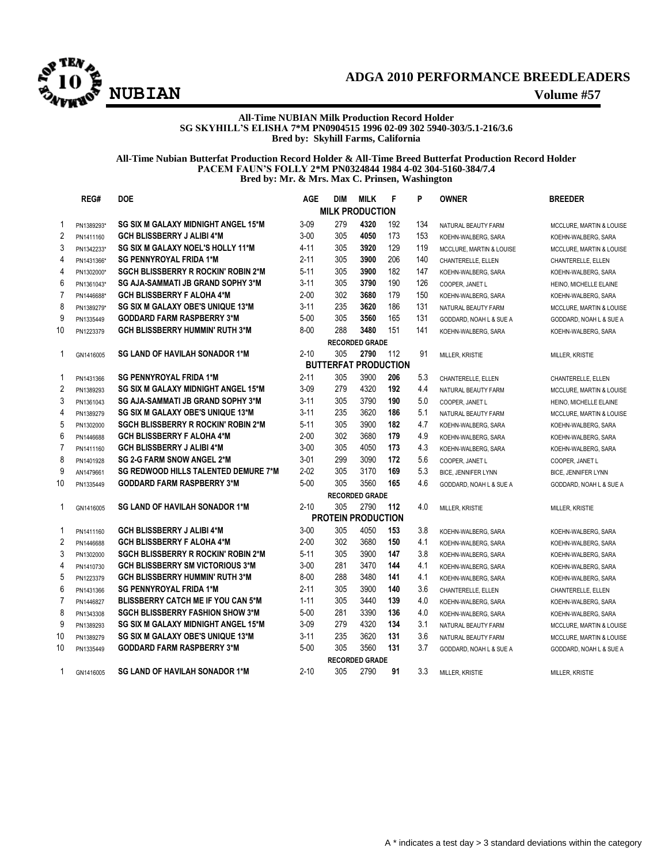

## **ADGA 2010 PERFORMANCE BREEDLEADERS NUBIAN Volume #57**

#### **All-Time NUBIAN Milk Production Record Holder SG SKYHILL'S ELISHA 7\*M PN0904515 1996 02-09 302 5940-303/5.1-216/3.6 Bred by: Skyhill Farms, California**

## **All-Time Nubian Butterfat Production Record Holder & All-Time Breed Butterfat Production Record Holder PACEM FAUN'S FOLLY 2\*M PN0324844 1984 4-02 304-5160-384/7.4 Bred by: Mr. & Mrs. Max C. Prinsen, Washington**

|                | REG#       | <b>DOE</b>                                 | <b>AGE</b> | <b>DIM</b>                  | <b>MILK</b>           | F   | P   | <b>OWNER</b>               | <b>BREEDER</b>             |
|----------------|------------|--------------------------------------------|------------|-----------------------------|-----------------------|-----|-----|----------------------------|----------------------------|
|                |            |                                            |            | <b>MILK PRODUCTION</b>      |                       |     |     |                            |                            |
| $\mathbf{1}$   | PN1389293* | SG SIX M GALAXY MIDNIGHT ANGEL 15*M        | $3 - 09$   | 279                         | 4320                  | 192 | 134 | NATURAL BEAUTY FARM        | MCCLURE, MARTIN & LOUISE   |
| $\overline{2}$ | PN1411160  | <b>GCH BLISSBERRY J ALIBI 4*M</b>          | $3 - 00$   | 305                         | 4050                  | 173 | 153 | KOEHN-WALBERG, SARA        | KOEHN-WALBERG, SARA        |
| 3              | PN1342233* | SG SIX M GALAXY NOEL'S HOLLY 11*M          | $4 - 11$   | 305                         | 3920                  | 129 | 119 | MCCLURE, MARTIN & LOUISE   | MCCLURE, MARTIN & LOUISE   |
| 4              | PN1431366* | <b>SG PENNYROYAL FRIDA 1*M</b>             | $2 - 11$   | 305                         | 3900                  | 206 | 140 | CHANTERELLE, ELLEN         | CHANTERELLE, ELLEN         |
| 4              | PN1302000* | <b>SGCH BLISSBERRY R ROCKIN' ROBIN 2*M</b> | $5 - 11$   | 305                         | 3900                  | 182 | 147 | KOEHN-WALBERG, SARA        | KOEHN-WALBERG, SARA        |
| 6              | PN1361043* | SG AJA-SAMMATI JB GRAND SOPHY 3*M          | $3 - 11$   | 305                         | 3790                  | 190 | 126 | COOPER, JANET L            | HEINO, MICHELLE ELAINE     |
| $\overline{7}$ | PN1446688* | <b>GCH BLISSBERRY F ALOHA 4*M</b>          | $2 - 00$   | 302                         | 3680                  | 179 | 150 | KOEHN-WALBERG, SARA        | KOEHN-WALBERG, SARA        |
| 8              | PN1389279* | SG SIX M GALAXY OBE'S UNIQUE 13*M          | $3 - 11$   | 235                         | 3620                  | 186 | 131 | NATURAL BEAUTY FARM        | MCCLURE, MARTIN & LOUISE   |
| 9              | PN1335449  | <b>GODDARD FARM RASPBERRY 3*M</b>          | $5 - 00$   | 305                         | 3560                  | 165 | 131 | GODDARD, NOAH L & SUE A    | GODDARD, NOAH L & SUE A    |
| 10             | PN1223379  | <b>GCH BLISSBERRY HUMMIN' RUTH 3*M</b>     | $8 - 00$   | 288                         | 3480                  | 151 | 141 | KOEHN-WALBERG, SARA        | KOEHN-WALBERG, SARA        |
|                |            |                                            |            |                             | <b>RECORDED GRADE</b> |     |     |                            |                            |
| 1              | GN1416005  | <b>SG LAND OF HAVILAH SONADOR 1*M</b>      | $2 - 10$   | 305                         | 2790                  | 112 | 91  | MILLER, KRISTIE            | MILLER, KRISTIE            |
|                |            |                                            |            | <b>BUTTERFAT PRODUCTION</b> |                       |     |     |                            |                            |
| 1              | PN1431366  | <b>SG PENNYROYAL FRIDA 1*M</b>             | $2 - 11$   | 305                         | 3900                  | 206 | 5.3 | CHANTERELLE, ELLEN         | CHANTERELLE, ELLEN         |
| $\overline{2}$ | PN1389293  | SG SIX M GALAXY MIDNIGHT ANGEL 15*M        | $3 - 09$   | 279                         | 4320                  | 192 | 4.4 | NATURAL BEAUTY FARM        | MCCLURE, MARTIN & LOUISE   |
| 3              | PN1361043  | SG AJA-SAMMATI JB GRAND SOPHY 3*M          | $3 - 11$   | 305                         | 3790                  | 190 | 5.0 | COOPER, JANET L            | HEINO, MICHELLE ELAINE     |
| 4              | PN1389279  | SG SIX M GALAXY OBE'S UNIQUE 13*M          | $3 - 11$   | 235                         | 3620                  | 186 | 5.1 | NATURAL BEAUTY FARM        | MCCLURE, MARTIN & LOUISE   |
| 5              | PN1302000  | <b>SGCH BLISSBERRY R ROCKIN' ROBIN 2*M</b> | $5 - 11$   | 305                         | 3900                  | 182 | 4.7 | KOEHN-WALBERG, SARA        | KOEHN-WALBERG, SARA        |
| 6              | PN1446688  | <b>GCH BLISSBERRY F ALOHA 4*M</b>          | $2 - 00$   | 302                         | 3680                  | 179 | 4.9 | KOEHN-WALBERG, SARA        | KOEHN-WALBERG, SARA        |
| $\overline{7}$ | PN1411160  | <b>GCH BLISSBERRY J ALIBI 4*M</b>          | $3 - 00$   | 305                         | 4050                  | 173 | 4.3 | KOEHN-WALBERG, SARA        | KOEHN-WALBERG, SARA        |
| 8              | PN1401928  | <b>SG 2-G FARM SNOW ANGEL 2*M</b>          | $3 - 01$   | 299                         | 3090                  | 172 | 5.6 | COOPER, JANET L            | COOPER, JANET L            |
| 9              | AN1479661  | SG REDWOOD HILLS TALENTED DEMURE 7*M       | $2 - 02$   | 305                         | 3170                  | 169 | 5.3 | <b>BICE, JENNIFER LYNN</b> | <b>BICE, JENNIFER LYNN</b> |
| 10             | PN1335449  | <b>GODDARD FARM RASPBERRY 3*M</b>          | $5 - 00$   | 305                         | 3560                  | 165 | 4.6 | GODDARD, NOAH L & SUE A    | GODDARD, NOAH L & SUE A    |
|                |            |                                            |            |                             | <b>RECORDED GRADE</b> |     |     |                            |                            |
| 1              | GN1416005  | <b>SG LAND OF HAVILAH SONADOR 1*M</b>      | $2 - 10$   | 305                         | 2790                  | 112 | 4.0 | MILLER, KRISTIE            | MILLER, KRISTIE            |
|                |            |                                            |            | <b>PROTEIN PRODUCTION</b>   |                       |     |     |                            |                            |
| 1              | PN1411160  | <b>GCH BLISSBERRY J ALIBI 4*M</b>          | $3 - 00$   | 305                         | 4050                  | 153 | 3.8 | KOEHN-WALBERG, SARA        | KOEHN-WALBERG, SARA        |
| $\overline{2}$ | PN1446688  | <b>GCH BLISSBERRY F ALOHA 4*M</b>          | $2 - 00$   | 302                         | 3680                  | 150 | 4.1 | KOEHN-WALBERG, SARA        | KOEHN-WALBERG, SARA        |
| 3              | PN1302000  | <b>SGCH BLISSBERRY R ROCKIN' ROBIN 2*M</b> | $5 - 11$   | 305                         | 3900                  | 147 | 3.8 | KOEHN-WALBERG, SARA        | KOEHN-WALBERG, SARA        |
| 4              | PN1410730  | <b>GCH BLISSBERRY SM VICTORIOUS 3*M</b>    | $3 - 00$   | 281                         | 3470                  | 144 | 4.1 | KOEHN-WALBERG, SARA        | KOEHN-WALBERG, SARA        |
| 5              | PN1223379  | <b>GCH BLISSBERRY HUMMIN' RUTH 3*M</b>     | $8 - 00$   | 288                         | 3480                  | 141 | 4.1 | KOEHN-WALBERG, SARA        | KOEHN-WALBERG, SARA        |
| 6              | PN1431366  | <b>SG PENNYROYAL FRIDA 1*M</b>             | $2 - 11$   | 305                         | 3900                  | 140 | 3.6 | CHANTERELLE, ELLEN         | CHANTERELLE, ELLEN         |
| $\overline{7}$ | PN1446827  | <b>BLISSBERRY CATCH ME IF YOU CAN 5*M</b>  | $1 - 11$   | 305                         | 3440                  | 139 | 4.0 | KOEHN-WALBERG, SARA        | KOEHN-WALBERG, SARA        |
| 8              | PN1343308  | <b>SGCH BLISSBERRY FASHION SHOW 3*M</b>    | $5 - 00$   | 281                         | 3390                  | 136 | 4.0 | KOEHN-WALBERG, SARA        | KOEHN-WALBERG, SARA        |
| 9              | PN1389293  | SG SIX M GALAXY MIDNIGHT ANGEL 15*M        | $3 - 09$   | 279                         | 4320                  | 134 | 3.1 | NATURAL BEAUTY FARM        | MCCLURE, MARTIN & LOUISE   |
| 10             | PN1389279  | SG SIX M GALAXY OBE'S UNIQUE 13*M          | $3 - 11$   | 235                         | 3620                  | 131 | 3.6 | NATURAL BEAUTY FARM        | MCCLURE, MARTIN & LOUISE   |
| 10             | PN1335449  | <b>GODDARD FARM RASPBERRY 3*M</b>          | $5 - 00$   | 305                         | 3560                  | 131 | 3.7 | GODDARD, NOAH L & SUE A    | GODDARD, NOAH L & SUE A    |
|                |            |                                            |            |                             | <b>RECORDED GRADE</b> |     |     |                            |                            |
| 1              | GN1416005  | <b>SG LAND OF HAVILAH SONADOR 1*M</b>      | $2 - 10$   | 305                         | 2790                  | 91  | 3.3 | MILLER, KRISTIE            | MILLER, KRISTIE            |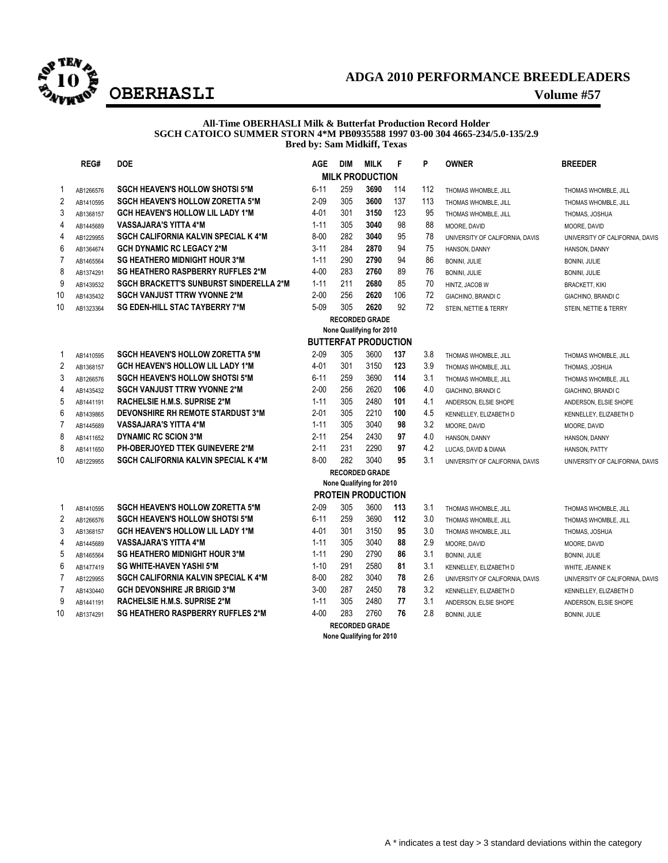

## **ADGA 2010 PERFORMANCE BREEDLEADERS OBERHASLI Volume #57**

### **All-Time OBERHASLI Milk & Butterfat Production Record Holder SGCH CATOICO SUMMER STORN 4\*M PB0935588 1997 03-00 304 4665-234/5.0-135/2.9 Bred by: Sam Midkiff, Texas**

|                | REG#      | <b>DOE</b>                                     | AGE      | <b>DIM</b> | <b>MILK</b>                 | F   | P   | <b>OWNER</b>                    | <b>BREEDER</b>                  |
|----------------|-----------|------------------------------------------------|----------|------------|-----------------------------|-----|-----|---------------------------------|---------------------------------|
|                |           |                                                |          |            | <b>MILK PRODUCTION</b>      |     |     |                                 |                                 |
| -1             | AB1266576 | <b>SGCH HEAVEN'S HOLLOW SHOTSI 5*M</b>         | $6 - 11$ | 259        | 3690                        | 114 | 112 | THOMAS WHOMBLE, JILL            | THOMAS WHOMBLE, JILL            |
| $\overline{2}$ | AB1410595 | <b>SGCH HEAVEN'S HOLLOW ZORETTA 5*M</b>        | $2 - 09$ | 305        | 3600                        | 137 | 113 | THOMAS WHOMBLE, JILL            | THOMAS WHOMBLE, JILL            |
| 3              | AB1368157 | <b>GCH HEAVEN'S HOLLOW LIL LADY 1*M</b>        | 4-01     | 301        | 3150                        | 123 | 95  | THOMAS WHOMBLE, JILL            | THOMAS, JOSHUA                  |
| 4              | AB1445689 | <b>VASSAJARA'S YITTA 4*M</b>                   | $1 - 11$ | 305        | 3040                        | 98  | 88  | MOORE, DAVID                    | MOORE, DAVID                    |
| 4              | AB1229955 | <b>SGCH CALIFORNIA KALVIN SPECIAL K 4*M</b>    | $8 - 00$ | 282        | 3040                        | 95  | 78  | UNIVERSITY OF CALIFORNIA, DAVIS | UNIVERSITY OF CALIFORNIA, DAVIS |
| 6              | AB1364674 | <b>GCH DYNAMIC RC LEGACY 2*M</b>               | $3 - 11$ | 284        | 2870                        | 94  | 75  | HANSON, DANNY                   | HANSON, DANNY                   |
| $\overline{7}$ | AB1465564 | <b>SG HEATHERO MIDNIGHT HOUR 3*M</b>           | $1 - 11$ | 290        | 2790                        | 94  | 86  | <b>BONINI, JULIE</b>            | BONINI, JULIE                   |
| 8              | AB1374291 | <b>SG HEATHERO RASPBERRY RUFFLES 2*M</b>       | $4 - 00$ | 283        | 2760                        | 89  | 76  | BONINI, JULIE                   | BONINI, JULIE                   |
| 9              | AB1439532 | <b>SGCH BRACKETT'S SUNBURST SINDERELLA 2*M</b> | $1 - 11$ | 211        | 2680                        | 85  | 70  | HINTZ, JACOB W                  | <b>BRACKETT, KIKI</b>           |
| 10             | AB1435432 | <b>SGCH VANJUST TTRW YVONNE 2*M</b>            | $2 - 00$ | 256        | 2620                        | 106 | 72  | GIACHINO, BRANDI C              | GIACHINO, BRANDI C              |
| 10             | AB1323364 | <b>SG EDEN-HILL STAC TAYBERRY 7*M</b>          | $5 - 09$ | 305        | 2620                        | 92  | 72  | STEIN, NETTIE & TERRY           | STEIN, NETTIE & TERRY           |
|                |           |                                                |          |            | <b>RECORDED GRADE</b>       |     |     |                                 |                                 |
|                |           |                                                |          |            | None Qualifying for 2010    |     |     |                                 |                                 |
|                |           |                                                |          |            | <b>BUTTERFAT PRODUCTION</b> |     |     |                                 |                                 |
| -1             | AB1410595 | <b>SGCH HEAVEN'S HOLLOW ZORETTA 5*M</b>        | $2 - 09$ | 305        | 3600                        | 137 | 3.8 | THOMAS WHOMBLE, JILL            | THOMAS WHOMBLE, JILL            |
| $\overline{c}$ | AB1368157 | <b>GCH HEAVEN'S HOLLOW LIL LADY 1*M</b>        | 4-01     | 301        | 3150                        | 123 | 3.9 | THOMAS WHOMBLE, JILL            | THOMAS, JOSHUA                  |
| 3              | AB1266576 | <b>SGCH HEAVEN'S HOLLOW SHOTSI 5*M</b>         | $6 - 11$ | 259        | 3690                        | 114 | 3.1 | THOMAS WHOMBLE, JILL            | THOMAS WHOMBLE, JILL            |
| 4              | AB1435432 | <b>SGCH VANJUST TTRW YVONNE 2*M</b>            | $2 - 00$ | 256        | 2620                        | 106 | 4.0 | GIACHINO, BRANDI C              | GIACHINO, BRANDI C              |
| 5              | AB1441191 | <b>RACHELSIE H.M.S. SUPRISE 2*M</b>            | $1 - 11$ | 305        | 2480                        | 101 | 4.1 | ANDERSON, ELSIE SHOPE           | ANDERSON, ELSIE SHOPE           |
| 6              | AB1439865 | <b>DEVONSHIRE RH REMOTE STARDUST 3*M</b>       | $2 - 01$ | 305        | 2210                        | 100 | 4.5 | KENNELLEY, ELIZABETH D          | KENNELLEY, ELIZABETH D          |
| $\overline{7}$ | AB1445689 | <b>VASSAJARA'S YITTA 4*M</b>                   | $1 - 11$ | 305        | 3040                        | 98  | 3.2 | MOORE, DAVID                    | MOORE, DAVID                    |
| 8              | AB1411652 | <b>DYNAMIC RC SCION 3*M</b>                    | $2 - 11$ | 254        | 2430                        | 97  | 4.0 | HANSON, DANNY                   | HANSON, DANNY                   |
| 8              | AB1411650 | <b>PH-OBERJOYED TTEK GUINEVERE 2*M</b>         | $2 - 11$ | 231        | 2290                        | 97  | 4.2 | LUCAS, DAVID & DIANA            | HANSON, PATTY                   |
| 10             | AB1229955 | <b>SGCH CALIFORNIA KALVIN SPECIAL K 4*M</b>    | $8 - 00$ | 282        | 3040                        | 95  | 3.1 | UNIVERSITY OF CALIFORNIA, DAVIS | UNIVERSITY OF CALIFORNIA, DAVIS |
|                |           |                                                |          |            | <b>RECORDED GRADE</b>       |     |     |                                 |                                 |
|                |           |                                                |          |            | None Qualifying for 2010    |     |     |                                 |                                 |
|                |           |                                                |          |            | <b>PROTEIN PRODUCTION</b>   |     |     |                                 |                                 |
| $\mathbf 1$    | AB1410595 | <b>SGCH HEAVEN'S HOLLOW ZORETTA 5*M</b>        | $2 - 09$ | 305        | 3600                        | 113 | 3.1 | THOMAS WHOMBLE, JILL            | THOMAS WHOMBLE, JILL            |
| $\overline{2}$ | AB1266576 | <b>SGCH HEAVEN'S HOLLOW SHOTSI 5*M</b>         | $6 - 11$ | 259        | 3690                        | 112 | 3.0 | THOMAS WHOMBLE, JILL            | THOMAS WHOMBLE, JILL            |
| 3              | AB1368157 | <b>GCH HEAVEN'S HOLLOW LIL LADY 1*M</b>        | 4-01     | 301        | 3150                        | 95  | 3.0 | THOMAS WHOMBLE, JILL            | THOMAS, JOSHUA                  |
| 4              | AB1445689 | <b>VASSAJARA'S YITTA 4*M</b>                   | $1 - 11$ | 305        | 3040                        | 88  | 2.9 | MOORE, DAVID                    | MOORE, DAVID                    |
| $\mathbf 5$    | AB1465564 | <b>SG HEATHERO MIDNIGHT HOUR 3*M</b>           | $1 - 11$ | 290        | 2790                        | 86  | 3.1 | BONINI, JULIE                   | <b>BONINI, JULIE</b>            |
| 6              | AB1477419 | <b>SG WHITE-HAVEN YASHI 5*M</b>                | $1 - 10$ | 291        | 2580                        | 81  | 3.1 | KENNELLEY, ELIZABETH D          | WHITE, JEANNE K                 |
| $\overline{7}$ | AB1229955 | SGCH CALIFORNIA KALVIN SPECIAL K 4*M           | $8 - 00$ | 282        | 3040                        | 78  | 2.6 | UNIVERSITY OF CALIFORNIA, DAVIS | UNIVERSITY OF CALIFORNIA, DAVIS |
| $\overline{7}$ | AB1430440 | <b>GCH DEVONSHIRE JR BRIGID 3*M</b>            | $3 - 00$ | 287        | 2450                        | 78  | 3.2 | KENNELLEY, ELIZABETH D          | KENNELLEY, ELIZABETH D          |
| 9              | AB1441191 | <b>RACHELSIE H.M.S. SUPRISE 2*M</b>            | $1 - 11$ | 305        | 2480                        | 77  | 3.1 | ANDERSON, ELSIE SHOPE           | ANDERSON, ELSIE SHOPE           |
| 10             | AB1374291 | <b>SG HEATHERO RASPBERRY RUFFLES 2*M</b>       | $4 - 00$ | 283        | 2760                        | 76  | 2.8 | BONINI, JULIE                   | BONINI, JULIE                   |
|                |           |                                                |          |            |                             |     |     |                                 |                                 |

**RECORDED GRADE**

**None Qualifying for 2010**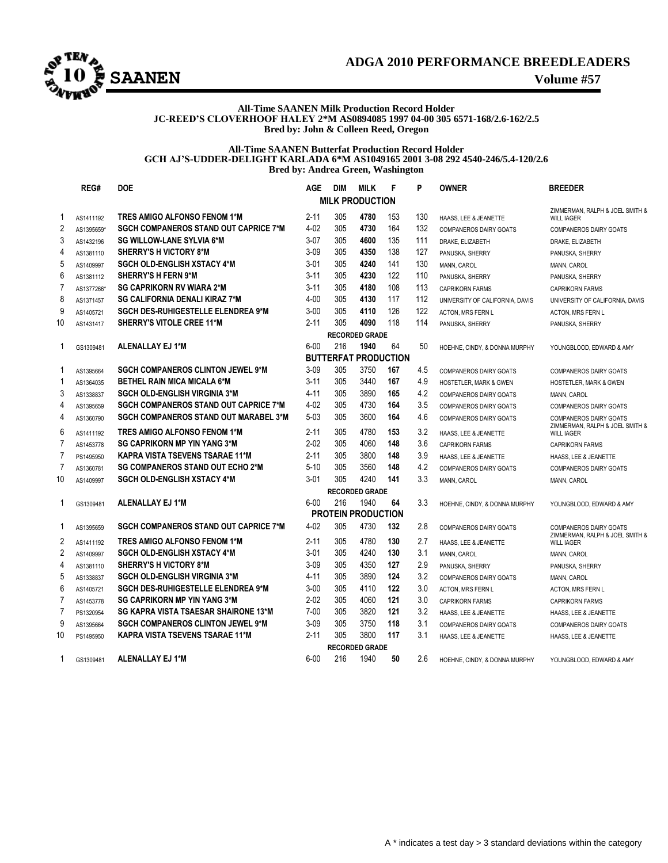

## **ADGA 2010 PERFORMANCE BREEDLEADERS**

#### **All-Time SAANEN Milk Production Record Holder JC-REED'S CLOVERHOOF HALEY 2\*M AS0894085 1997 04-00 305 6571-168/2.6-162/2.5 Bred by: John & Colleen Reed, Oregon**

#### **All-Time SAANEN Butterfat Production Record Holder GCH AJ'S-UDDER-DELIGHT KARLADA 6\*M AS1049165 2001 3-08 292 4540-246/5.4-120/2.6 Bred by: Andrea Green, Washington**

|                         | REG#       | <b>DOE</b>                                   | <b>AGE</b> | <b>DIM</b> | <b>MILK</b>                 | F   | P   | <b>OWNER</b>                      | <b>BREEDER</b>                                                   |
|-------------------------|------------|----------------------------------------------|------------|------------|-----------------------------|-----|-----|-----------------------------------|------------------------------------------------------------------|
|                         |            |                                              |            |            | <b>MILK PRODUCTION</b>      |     |     |                                   |                                                                  |
| 1                       | AS1411192  | TRES AMIGO ALFONSO FENOM 1*M                 | $2 - 11$   | 305        | 4780                        | 153 | 130 | HAASS, LEE & JEANETTE             | ZIMMERMAN, RALPH & JOEL SMITH &<br><b>WILL IAGER</b>             |
| $\overline{c}$          | AS1395659* | <b>SGCH COMPANEROS STAND OUT CAPRICE 7*M</b> | $4 - 02$   | 305        | 4730                        | 164 | 132 | <b>COMPANEROS DAIRY GOATS</b>     | <b>COMPANEROS DAIRY GOATS</b>                                    |
| 3                       | AS1432196  | <b>SG WILLOW-LANE SYLVIA 6*M</b>             | $3-07$     | 305        | 4600                        | 135 | 111 | DRAKE, ELIZABETH                  | DRAKE, ELIZABETH                                                 |
| 4                       | AS1381110  | SHERRY'S H VICTORY 8*M                       | $3 - 09$   | 305        | 4350                        | 138 | 127 | PANUSKA, SHERRY                   | PANUSKA, SHERRY                                                  |
| 5                       | AS1409997  | <b>SGCH OLD-ENGLISH XSTACY 4*M</b>           | $3 - 01$   | 305        | 4240                        | 141 | 130 | MANN, CAROL                       | MANN, CAROL                                                      |
| 6                       | AS1381112  | <b>SHERRY'S H FERN 9*M</b>                   | $3 - 11$   | 305        | 4230                        | 122 | 110 | PANUSKA, SHERRY                   | PANUSKA, SHERRY                                                  |
| 7                       | AS1377266* | <b>SG CAPRIKORN RV WIARA 2*M</b>             | $3 - 11$   | 305        | 4180                        | 108 | 113 | <b>CAPRIKORN FARMS</b>            | <b>CAPRIKORN FARMS</b>                                           |
| 8                       | AS1371457  | <b>SG CALIFORNIA DENALI KIRAZ 7*M</b>        | $4 - 00$   | 305        | 4130                        | 117 | 112 | UNIVERSITY OF CALIFORNIA, DAVIS   | UNIVERSITY OF CALIFORNIA, DAVIS                                  |
| 9                       | AS1405721  | <b>SGCH DES-RUHIGESTELLE ELENDREA 9*M</b>    | $3 - 00$   | 305        | 4110                        | 126 | 122 | ACTON, MRS FERN L                 | <b>ACTON, MRS FERN L</b>                                         |
| 10                      | AS1431417  | SHERRY'S VITOLE CREE 11*M                    | $2 - 11$   | 305        | 4090                        | 118 | 114 | PANUSKA, SHERRY                   | PANUSKA, SHERRY                                                  |
|                         |            |                                              |            |            | <b>RECORDED GRADE</b>       |     |     |                                   |                                                                  |
| 1                       | GS1309481  | ALENALLAY EJ 1*M                             | $6 - 00$   | 216        | 1940                        | 64  | 50  | HOEHNE, CINDY, & DONNA MURPHY     | YOUNGBLOOD, EDWARD & AMY                                         |
|                         |            |                                              |            |            | <b>BUTTERFAT PRODUCTION</b> |     |     |                                   |                                                                  |
| 1                       | AS1395664  | <b>SGCH COMPANEROS CLINTON JEWEL 9*M</b>     | $3-09$     | 305        | 3750                        | 167 | 4.5 | COMPANEROS DAIRY GOATS            | <b>COMPANEROS DAIRY GOATS</b>                                    |
| 1                       | AS1364035  | <b>BETHEL RAIN MICA MICALA 6*M</b>           | 3-11       | 305        | 3440                        | 167 | 4.9 | <b>HOSTETLER, MARK &amp; GWEN</b> | <b>HOSTETLER, MARK &amp; GWEN</b>                                |
| 3                       | AS1338837  | <b>SGCH OLD-ENGLISH VIRGINIA 3*M</b>         | $4 - 11$   | 305        | 3890                        | 165 | 4.2 | <b>COMPANEROS DAIRY GOATS</b>     | MANN, CAROL                                                      |
| 4                       | AS1395659  | <b>SGCH COMPANEROS STAND OUT CAPRICE 7*M</b> | $4 - 02$   | 305        | 4730                        | 164 | 3.5 | <b>COMPANEROS DAIRY GOATS</b>     | <b>COMPANEROS DAIRY GOATS</b>                                    |
| 4                       | AS1360790  | <b>SGCH COMPANEROS STAND OUT MARABEL 3*M</b> | $5 - 03$   | 305        | 3600                        | 164 | 4.6 | COMPANEROS DAIRY GOATS            | <b>COMPANEROS DAIRY GOATS</b>                                    |
| 6                       | AS1411192  | TRES AMIGO ALFONSO FENOM 1*M                 | $2 - 11$   | 305        | 4780                        | 153 | 3.2 | HAASS, LEE & JEANETTE             | ZIMMERMAN, RALPH & JOEL SMITH &<br><b>WILL IAGER</b>             |
| 7                       | AS1453778  | <b>SG CAPRIKORN MP YIN YANG 3*M</b>          | $2 - 02$   | 305        | 4060                        | 148 | 3.6 | <b>CAPRIKORN FARMS</b>            | <b>CAPRIKORN FARMS</b>                                           |
| 7                       | PS1495950  | <b>KAPRA VISTA TSEVENS TSARAE 11*M</b>       | $2 - 11$   | 305        | 3800                        | 148 | 3.9 | HAASS. LEE & JEANETTE             | <b>HAASS. LEE &amp; JEANETTE</b>                                 |
| 7                       | AS1360781  | <b>SG COMPANEROS STAND OUT ECHO 2*M</b>      | $5 - 10$   | 305        | 3560                        | 148 | 4.2 | <b>COMPANEROS DAIRY GOATS</b>     | <b>COMPANEROS DAIRY GOATS</b>                                    |
| 10                      | AS1409997  | <b>SGCH OLD-ENGLISH XSTACY 4*M</b>           | $3 - 01$   | 305        | 4240                        | 141 | 3.3 | MANN, CAROL                       | MANN, CAROL                                                      |
|                         |            |                                              |            |            | <b>RECORDED GRADE</b>       |     |     |                                   |                                                                  |
| 1                       | GS1309481  | ALENALLAY EJ 1*M                             | $6 - 00$   | 216        | 1940                        | 64  | 3.3 | HOEHNE, CINDY, & DONNA MURPHY     | YOUNGBLOOD, EDWARD & AMY                                         |
|                         |            |                                              |            |            | <b>PROTEIN PRODUCTION</b>   |     |     |                                   |                                                                  |
| 1                       | AS1395659  | <b>SGCH COMPANEROS STAND OUT CAPRICE 7*M</b> | $4 - 02$   | 305        | 4730                        | 132 | 2.8 | <b>COMPANEROS DAIRY GOATS</b>     | <b>COMPANEROS DAIRY GOATS</b><br>ZIMMERMAN, RALPH & JOEL SMITH & |
| $\overline{2}$          | AS1411192  | TRES AMIGO ALFONSO FENOM 1*M                 | $2 - 11$   | 305        | 4780                        | 130 | 2.7 | HAASS, LEE & JEANETTE             | <b>WILL IAGER</b>                                                |
| $\overline{\mathbf{c}}$ | AS1409997  | <b>SGCH OLD-ENGLISH XSTACY 4*M</b>           | $3 - 01$   | 305        | 4240                        | 130 | 3.1 | MANN, CAROL                       | MANN, CAROL                                                      |
| 4                       | AS1381110  | <b>SHERRY'S H VICTORY 8*M</b>                | $3-09$     | 305        | 4350                        | 127 | 2.9 | PANUSKA, SHERRY                   | PANUSKA, SHERRY                                                  |
| 5                       | AS1338837  | <b>SGCH OLD-ENGLISH VIRGINIA 3*M</b>         | 4-11       | 305        | 3890                        | 124 | 3.2 | COMPANEROS DAIRY GOATS            | MANN, CAROL                                                      |
| 6                       | AS1405721  | <b>SGCH DES-RUHIGESTELLE ELENDREA 9*M</b>    | $3 - 00$   | 305        | 4110                        | 122 | 3.0 | ACTON, MRS FERN L                 | <b>ACTON, MRS FERN L</b>                                         |
| $\overline{7}$          | AS1453778  | <b>SG CAPRIKORN MP YIN YANG 3*M</b>          | $2 - 02$   | 305        | 4060                        | 121 | 3.0 | <b>CAPRIKORN FARMS</b>            | <b>CAPRIKORN FARMS</b>                                           |
| 7                       | PS1320954  | <b>SG KAPRA VISTA TSAESAR SHAIRONE 13*M</b>  | $7 - 00$   | 305        | 3820                        | 121 | 3.2 | HAASS, LEE & JEANETTE             | HAASS, LEE & JEANETTE                                            |
| 9                       | AS1395664  | <b>SGCH COMPANEROS CLINTON JEWEL 9*M</b>     | $3 - 09$   | 305        | 3750                        | 118 | 3.1 | <b>COMPANEROS DAIRY GOATS</b>     | <b>COMPANEROS DAIRY GOATS</b>                                    |
| 10                      | PS1495950  | KAPRA VISTA TSEVENS TSARAE 11*M              | $2 - 11$   | 305        | 3800                        | 117 | 3.1 | HAASS, LEE & JEANETTE             | HAASS, LEE & JEANETTE                                            |
|                         |            |                                              |            |            | <b>RECORDED GRADE</b>       |     |     |                                   |                                                                  |
| 1                       | GS1309481  | ALENALLAY EJ 1*M                             | $6 - 00$   | 216        | 1940                        | 50  | 2.6 | HOEHNE, CINDY, & DONNA MURPHY     | YOUNGBLOOD, EDWARD & AMY                                         |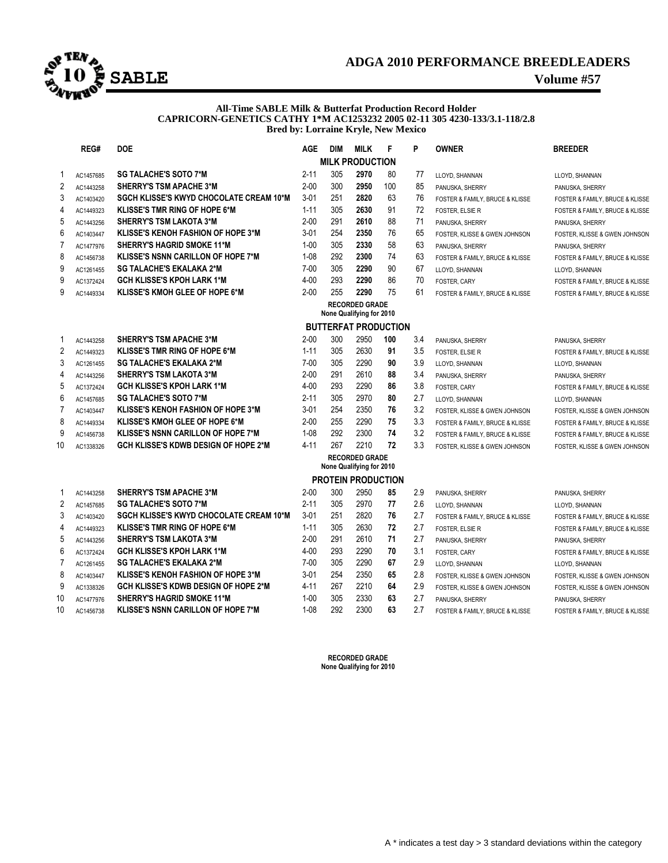

## **ADGA 2010 PERFORMANCE BREEDLEADERS**

#### **All-Time SABLE Milk & Butterfat Production Record Holder CAPRICORN-GENETICS CATHY 1\*M AC1253232 2005 02-11 305 4230-133/3.1-118/2.8 Bred by: Lorraine Kryle, New Mexico**

| REG#<br><b>DOE</b> |                             | <b>AGE</b>                                     | <b>DIM</b> | <b>MILK</b> | F                                                 | P   | <b>OWNER</b> | <b>BREEDER</b>                  |                                 |  |  |  |  |  |
|--------------------|-----------------------------|------------------------------------------------|------------|-------------|---------------------------------------------------|-----|--------------|---------------------------------|---------------------------------|--|--|--|--|--|
|                    |                             |                                                |            |             | <b>MILK PRODUCTION</b>                            |     |              |                                 |                                 |  |  |  |  |  |
| $\mathbf 1$        | AC1457685                   | <b>SG TALACHE'S SOTO 7*M</b>                   | $2 - 11$   | 305         | 2970                                              | 80  | 77           | LLOYD, SHANNAN                  | LLOYD, SHANNAN                  |  |  |  |  |  |
| $\overline{2}$     | AC1443258                   | <b>SHERRY'S TSM APACHE 3*M</b>                 | $2 - 00$   | 300         | 2950                                              | 100 | 85           | PANUSKA, SHERRY                 | PANUSKA, SHERRY                 |  |  |  |  |  |
| 3                  | AC1403420                   | <b>SGCH KLISSE'S KWYD CHOCOLATE CREAM 10*M</b> | $3 - 01$   | 251         | 2820                                              | 63  | 76           | FOSTER & FAMILY, BRUCE & KLISSE | FOSTER & FAMILY, BRUCE & KLISSE |  |  |  |  |  |
| 4                  | AC1449323                   | <b>KLISSE'S TMR RING OF HOPE 6*M</b>           | $1 - 11$   | 305         | 2630                                              | 91  | 72           | FOSTER, ELSIE R                 | FOSTER & FAMILY, BRUCE & KLISSE |  |  |  |  |  |
| 5                  | AC1443256                   | <b>SHERRY'S TSM LAKOTA 3*M</b>                 | $2 - 00$   | 291         | 2610                                              | 88  | 71           | PANUSKA, SHERRY                 | PANUSKA, SHERRY                 |  |  |  |  |  |
| 6                  | AC1403447                   | <b>KLISSE'S KENOH FASHION OF HOPE 3*M</b>      | $3 - 01$   | 254         | 2350                                              | 76  | 65           | FOSTER, KLISSE & GWEN JOHNSON   | FOSTER, KLISSE & GWEN JOHNSON   |  |  |  |  |  |
| $\overline{7}$     | AC1477976                   | SHERRY'S HAGRID SMOKE 11*M                     | $1 - 00$   | 305         | 2330                                              | 58  | 63           | PANUSKA, SHERRY                 | PANUSKA, SHERRY                 |  |  |  |  |  |
| 8                  | AC1456738                   | <b>KLISSE'S NSNN CARILLON OF HOPE 7*M</b>      | $1 - 08$   | 292         | 2300                                              | 74  | 63           | FOSTER & FAMILY, BRUCE & KLISSE | FOSTER & FAMILY, BRUCE & KLISSE |  |  |  |  |  |
| 9                  | AC1261455                   | <b>SG TALACHE'S EKALAKA 2*M</b>                | $7 - 00$   | 305         | 2290                                              | 90  | 67           | LLOYD, SHANNAN                  | LLOYD, SHANNAN                  |  |  |  |  |  |
| 9                  | AC1372424                   | <b>GCH KLISSE'S KPOH LARK 1*M</b>              | $4 - 00$   | 293         | 2290                                              | 86  | 70           | FOSTER, CARY                    | FOSTER & FAMILY, BRUCE & KLISSE |  |  |  |  |  |
| 9                  | AC1449334                   | <b>KLISSE'S KMOH GLEE OF HOPE 6*M</b>          | $2 - 00$   | 255         | 2290                                              | 75  | 61           | FOSTER & FAMILY, BRUCE & KLISSE | FOSTER & FAMILY, BRUCE & KLISSE |  |  |  |  |  |
|                    |                             |                                                |            |             | <b>RECORDED GRADE</b>                             |     |              |                                 |                                 |  |  |  |  |  |
|                    | None Qualifying for 2010    |                                                |            |             |                                                   |     |              |                                 |                                 |  |  |  |  |  |
|                    | <b>BUTTERFAT PRODUCTION</b> |                                                |            |             |                                                   |     |              |                                 |                                 |  |  |  |  |  |
| -1                 | AC1443258                   | <b>SHERRY'S TSM APACHE 3*M</b>                 | $2 - 00$   | 300         | 2950                                              | 100 | 3.4          | PANUSKA, SHERRY                 | PANUSKA, SHERRY                 |  |  |  |  |  |
| $\overline{2}$     | AC1449323                   | <b>KLISSE'S TMR RING OF HOPE 6*M</b>           | $1 - 11$   | 305         | 2630                                              | 91  | 3.5          | FOSTER, ELSIE R                 | FOSTER & FAMILY, BRUCE & KLISSE |  |  |  |  |  |
| 3                  | AC1261455                   | <b>SG TALACHE'S EKALAKA 2*M</b>                | $7 - 00$   | 305         | 2290                                              | 90  | 3.9          | LLOYD, SHANNAN                  | LLOYD, SHANNAN                  |  |  |  |  |  |
| 4                  | AC1443256                   | <b>SHERRY'S TSM LAKOTA 3*M</b>                 | $2 - 00$   | 291         | 2610                                              | 88  | 3.4          | PANUSKA, SHERRY                 | PANUSKA, SHERRY                 |  |  |  |  |  |
| 5                  | AC1372424                   | <b>GCH KLISSE'S KPOH LARK 1*M</b>              | $4 - 00$   | 293         | 2290                                              | 86  | 3.8          | FOSTER, CARY                    | FOSTER & FAMILY, BRUCE & KLISSE |  |  |  |  |  |
| 6                  | AC1457685                   | <b>SG TALACHE'S SOTO 7*M</b>                   | $2 - 11$   | 305         | 2970                                              | 80  | 2.7          | LLOYD, SHANNAN                  | LLOYD, SHANNAN                  |  |  |  |  |  |
| $\overline{7}$     | AC1403447                   | <b>KLISSE'S KENOH FASHION OF HOPE 3*M</b>      | $3 - 01$   | 254         | 2350                                              | 76  | 3.2          | FOSTER, KLISSE & GWEN JOHNSON   | FOSTER, KLISSE & GWEN JOHNSON   |  |  |  |  |  |
| 8                  | AC1449334                   | <b>KLISSE'S KMOH GLEE OF HOPE 6*M</b>          | $2 - 00$   | 255         | 2290                                              | 75  | 3.3          | FOSTER & FAMILY, BRUCE & KLISSE | FOSTER & FAMILY, BRUCE & KLISSE |  |  |  |  |  |
| 9                  | AC1456738                   | <b>KLISSE'S NSNN CARILLON OF HOPE 7*M</b>      | $1 - 08$   | 292         | 2300                                              | 74  | 3.2          | FOSTER & FAMILY, BRUCE & KLISSE | FOSTER & FAMILY, BRUCE & KLISSE |  |  |  |  |  |
| 10                 | AC1338326                   | <b>GCH KLISSE'S KDWB DESIGN OF HOPE 2*M</b>    | $4 - 11$   | 267         | 2210                                              | 72  | 3.3          | FOSTER, KLISSE & GWEN JOHNSON   | FOSTER, KLISSE & GWEN JOHNSON   |  |  |  |  |  |
|                    |                             |                                                |            |             | <b>RECORDED GRADE</b><br>None Qualifying for 2010 |     |              |                                 |                                 |  |  |  |  |  |
|                    |                             |                                                |            |             | <b>PROTEIN PRODUCTION</b>                         |     |              |                                 |                                 |  |  |  |  |  |
| -1                 | AC1443258                   | <b>SHERRY'S TSM APACHE 3*M</b>                 | $2 - 00$   | 300         | 2950                                              | 85  | 2.9          | PANUSKA, SHERRY                 | PANUSKA, SHERRY                 |  |  |  |  |  |
| $\overline{2}$     | AC1457685                   | <b>SG TALACHE'S SOTO 7*M</b>                   | $2 - 11$   | 305         | 2970                                              | 77  | 2.6          | LLOYD, SHANNAN                  | LLOYD, SHANNAN                  |  |  |  |  |  |
| 3                  | AC1403420                   | SGCH KLISSE'S KWYD CHOCOLATE CREAM 10*M        | $3 - 01$   | 251         | 2820                                              | 76  | 2.7          | FOSTER & FAMILY, BRUCE & KLISSE | FOSTER & FAMILY, BRUCE & KLISSE |  |  |  |  |  |
| 4                  | AC1449323                   | <b>KLISSE'S TMR RING OF HOPE 6*M</b>           | $1 - 11$   | 305         | 2630                                              | 72  | 2.7          | <b>FOSTER, ELSIE R</b>          | FOSTER & FAMILY, BRUCE & KLISSE |  |  |  |  |  |
| 5                  | AC1443256                   | <b>SHERRY'S TSM LAKOTA 3*M</b>                 | $2 - 00$   | 291         | 2610                                              | 71  | 2.7          | PANUSKA, SHERRY                 | PANUSKA, SHERRY                 |  |  |  |  |  |
| 6                  | AC1372424                   | <b>GCH KLISSE'S KPOH LARK 1*M</b>              | $4 - 00$   | 293         | 2290                                              | 70  | 3.1          | FOSTER, CARY                    | FOSTER & FAMILY, BRUCE & KLISSE |  |  |  |  |  |
| $\overline{7}$     | AC1261455                   | <b>SG TALACHE'S EKALAKA 2*M</b>                | $7 - 00$   | 305         | 2290                                              | 67  | 2.9          | LLOYD, SHANNAN                  | LLOYD, SHANNAN                  |  |  |  |  |  |
| 8                  | AC1403447                   | <b>KLISSE'S KENOH FASHION OF HOPE 3*M</b>      | $3 - 01$   | 254         | 2350                                              | 65  | 2.8          | FOSTER, KLISSE & GWEN JOHNSON   | FOSTER, KLISSE & GWEN JOHNSON   |  |  |  |  |  |
| 9                  | AC1338326                   | <b>GCH KLISSE'S KDWB DESIGN OF HOPE 2*M</b>    | $4 - 11$   | 267         | 2210                                              | 64  | 2.9          | FOSTER. KLISSE & GWEN JOHNSON   | FOSTER. KLISSE & GWEN JOHNSON   |  |  |  |  |  |
| 10                 | AC1477976                   | <b>SHERRY'S HAGRID SMOKE 11*M</b>              | $1 - 00$   | 305         | 2330                                              | 63  | 2.7          | PANUSKA, SHERRY                 | PANUSKA, SHERRY                 |  |  |  |  |  |
| 10                 | AC1456738                   | KLISSE'S NSNN CARILLON OF HOPE 7*M             | $1 - 08$   | 292         | 2300                                              | 63  | 2.7          | FOSTER & FAMILY, BRUCE & KLISSE | FOSTER & FAMILY, BRUCE & KLISSE |  |  |  |  |  |

**RECORDED GRADE None Qualifying for 2010**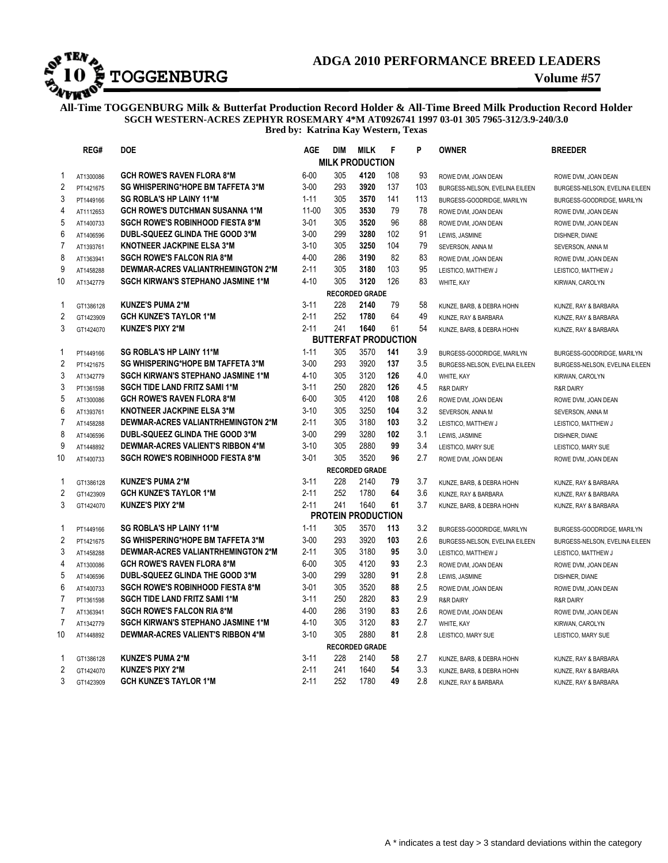

# **ADGA 2010 PERFORMANCE BREED LEADERS**

**All-Time TOGGENBURG Milk & Butterfat Production Record Holder & All-Time Breed Milk Production Record Holder SGCH WESTERN-ACRES ZEPHYR ROSEMARY 4\*M AT0926741 1997 03-01 305 7965-312/3.9-240/3.0 Bred by: Katrina Kay Western, Texas**

|                         | REG#      | <b>DOE</b>                                | <b>AGE</b> | <b>DIM</b> | <b>MILK</b>                 | F   | P   | <b>OWNER</b>                   | <b>BREEDER</b>                 |
|-------------------------|-----------|-------------------------------------------|------------|------------|-----------------------------|-----|-----|--------------------------------|--------------------------------|
|                         |           |                                           |            |            | <b>MILK PRODUCTION</b>      |     |     |                                |                                |
| 1                       | AT1300086 | <b>GCH ROWE'S RAVEN FLORA 8*M</b>         | $6 - 00$   | 305        | 4120                        | 108 | 93  | ROWE DVM, JOAN DEAN            | ROWE DVM, JOAN DEAN            |
| $\overline{c}$          | PT1421675 | SG WHISPERING*HOPE BM TAFFETA 3*M         | $3 - 00$   | 293        | 3920                        | 137 | 103 | BURGESS-NELSON, EVELINA EILEEN | BURGESS-NELSON, EVELINA EILEEN |
| 3                       | PT1449166 | <b>SG ROBLA'S HP LAINY 11*M</b>           | $1 - 11$   | 305        | 3570                        | 141 | 113 | BURGESS-GOODRIDGE, MARILYN     | BURGESS-GOODRIDGE, MARILYN     |
| $\overline{4}$          | AT1112653 | <b>GCH ROWE'S DUTCHMAN SUSANNA 1*M</b>    | $11 - 00$  | 305        | 3530                        | 79  | 78  | ROWE DVM, JOAN DEAN            | ROWE DVM, JOAN DEAN            |
| 5                       | AT1400733 | <b>SGCH ROWE'S ROBINHOOD FIESTA 8*M</b>   | $3 - 01$   | 305        | 3520                        | 96  | 88  | ROWE DVM, JOAN DEAN            | ROWE DVM, JOAN DEAN            |
| $6\phantom{a}$          | AT1406596 | DUBL-SQUEEZ GLINDA THE GOOD 3*M           | $3 - 00$   | 299        | 3280                        | 102 | 91  | LEWIS, JASMINE                 | DISHNER, DIANE                 |
| $\overline{7}$          | AT1393761 | KNOTNEER JACKPINE ELSA 3*M                | $3 - 10$   | 305        | 3250                        | 104 | 79  | SEVERSON, ANNA M               | SEVERSON, ANNA M               |
| 8                       | AT1363941 | <b>SGCH ROWE'S FALCON RIA 8*M</b>         | $4 - 00$   | 286        | 3190                        | 82  | 83  | ROWE DVM, JOAN DEAN            | ROWE DVM, JOAN DEAN            |
| 9                       | AT1458288 | DEWMAR-ACRES VALIANTRHEMINGTON 2*M        | $2 - 11$   | 305        | 3180                        | 103 | 95  | LEISTICO, MATTHEW J            | LEISTICO, MATTHEW J            |
| 10                      | AT1342779 | <b>SGCH KIRWAN'S STEPHANO JASMINE 1*M</b> | 4-10       | 305        | 3120                        | 126 | 83  | WHITE, KAY                     | KIRWAN, CAROLYN                |
|                         |           |                                           |            |            | <b>RECORDED GRADE</b>       |     |     |                                |                                |
| 1                       | GT1386128 | <b>KUNZE'S PUMA 2*M</b>                   | $3 - 11$   | 228        | 2140                        | 79  | 58  | KUNZE, BARB, & DEBRA HOHN      | KUNZE, RAY & BARBARA           |
| $\sqrt{2}$              | GT1423909 | <b>GCH KUNZE'S TAYLOR 1*M</b>             | $2 - 11$   | 252        | 1780                        | 64  | 49  | KUNZE, RAY & BARBARA           | KUNZE, RAY & BARBARA           |
| 3                       | GT1424070 | <b>KUNZE'S PIXY 2*M</b>                   | $2 - 11$   | 241        | 1640                        | 61  | 54  | KUNZE, BARB, & DEBRA HOHN      | KUNZE, RAY & BARBARA           |
|                         |           |                                           |            |            | <b>BUTTERFAT PRODUCTION</b> |     |     |                                |                                |
| 1                       | PT1449166 | <b>SG ROBLA'S HP LAINY 11*M</b>           | $1 - 11$   | 305        | 3570                        | 141 | 3.9 | BURGESS-GOODRIDGE, MARILYN     | BURGESS-GOODRIDGE, MARILYN     |
| $\overline{\mathbf{c}}$ | PT1421675 | SG WHISPERING*HOPE BM TAFFETA 3*M         | $3 - 00$   | 293        | 3920                        | 137 | 3.5 | BURGESS-NELSON, EVELINA EILEEN | BURGESS-NELSON, EVELINA EILEEN |
| 3                       | AT1342779 | <b>SGCH KIRWAN'S STEPHANO JASMINE 1*M</b> | $4 - 10$   | 305        | 3120                        | 126 | 4.0 | WHITE, KAY                     | KIRWAN, CAROLYN                |
| 3                       | PT1361598 | <b>SGCH TIDE LAND FRITZ SAMI 1*M</b>      | $3 - 11$   | 250        | 2820                        | 126 | 4.5 | <b>R&amp;R DAIRY</b>           | <b>R&amp;R DAIRY</b>           |
| 5                       | AT1300086 | <b>GCH ROWE'S RAVEN FLORA 8*M</b>         | $6 - 00$   | 305        | 4120                        | 108 | 2.6 | ROWE DVM, JOAN DEAN            | ROWE DVM, JOAN DEAN            |
| 6                       | AT1393761 | <b>KNOTNEER JACKPINE ELSA 3*M</b>         | $3 - 10$   | 305        | 3250                        | 104 | 3.2 | SEVERSON, ANNA M               | SEVERSON, ANNA M               |
| $\overline{7}$          | AT1458288 | DEWMAR-ACRES VALIANTRHEMINGTON 2*M        | $2 - 11$   | 305        | 3180                        | 103 | 3.2 | LEISTICO, MATTHEW J            | LEISTICO, MATTHEW J            |
| 8                       | AT1406596 | DUBL-SQUEEZ GLINDA THE GOOD 3*M           | $3 - 00$   | 299        | 3280                        | 102 | 3.1 | LEWIS, JASMINE                 | DISHNER, DIANE                 |
| 9                       | AT1448892 | <b>DEWMAR-ACRES VALIENT'S RIBBON 4*M</b>  | $3 - 10$   | 305        | 2880                        | 99  | 3.4 | LEISTICO, MARY SUE             | LEISTICO, MARY SUE             |
| 10                      | AT1400733 | <b>SGCH ROWE'S ROBINHOOD FIESTA 8*M</b>   | $3 - 01$   | 305        | 3520                        | 96  | 2.7 | ROWE DVM, JOAN DEAN            | ROWE DVM, JOAN DEAN            |
|                         |           |                                           |            |            | <b>RECORDED GRADE</b>       |     |     |                                |                                |
| 1                       | GT1386128 | <b>KUNZE'S PUMA 2*M</b>                   | $3 - 11$   | 228        | 2140                        | 79  | 3.7 | KUNZE, BARB, & DEBRA HOHN      | KUNZE, RAY & BARBARA           |
| $\overline{\mathbf{c}}$ | GT1423909 | <b>GCH KUNZE'S TAYLOR 1*M</b>             | $2 - 11$   | 252        | 1780                        | 64  | 3.6 | KUNZE, RAY & BARBARA           | KUNZE, RAY & BARBARA           |
| 3                       | GT1424070 | <b>KUNZE'S PIXY 2*M</b>                   | $2 - 11$   | 241        | 1640                        | 61  | 3.7 | KUNZE, BARB, & DEBRA HOHN      | KUNZE, RAY & BARBARA           |
|                         |           |                                           |            |            | <b>PROTEIN PRODUCTION</b>   |     |     |                                |                                |
| 1                       | PT1449166 | SG ROBLA'S HP LAINY 11*M                  | $1 - 11$   | 305        | 3570                        | 113 | 3.2 | BURGESS-GOODRIDGE, MARILYN     | BURGESS-GOODRIDGE, MARILYN     |
| $\sqrt{2}$              | PT1421675 | SG WHISPERING*HOPE BM TAFFETA 3*M         | $3 - 00$   | 293        | 3920                        | 103 | 2.6 | BURGESS-NELSON, EVELINA EILEEN | BURGESS-NELSON, EVELINA EILEEN |
| 3                       | AT1458288 | DEWMAR-ACRES VALIANTRHEMINGTON 2*M        | $2 - 11$   | 305        | 3180                        | 95  | 3.0 | LEISTICO, MATTHEW J            | LEISTICO, MATTHEW J            |
| $\overline{4}$          | AT1300086 | <b>GCH ROWE'S RAVEN FLORA 8*M</b>         | $6 - 00$   | 305        | 4120                        | 93  | 2.3 | ROWE DVM, JOAN DEAN            | ROWE DVM, JOAN DEAN            |
| 5                       | AT1406596 | DUBL-SQUEEZ GLINDA THE GOOD 3*M           | $3 - 00$   | 299        | 3280                        | 91  | 2.8 | LEWIS, JASMINE                 | DISHNER, DIANE                 |
| 6                       | AT1400733 | <b>SGCH ROWE'S ROBINHOOD FIESTA 8*M</b>   | $3 - 01$   | 305        | 3520                        | 88  | 2.5 | ROWE DVM, JOAN DEAN            | ROWE DVM, JOAN DEAN            |
| $\overline{7}$          | PT1361598 | <b>SGCH TIDE LAND FRITZ SAMI 1*M</b>      | $3 - 11$   | 250        | 2820                        | 83  | 2.9 | <b>R&amp;R DAIRY</b>           | <b>R&amp;R DAIRY</b>           |
| $\overline{7}$          | AT1363941 | <b>SGCH ROWE'S FALCON RIA 8*M</b>         | $4 - 00$   | 286        | 3190                        | 83  | 2.6 | ROWE DVM, JOAN DEAN            | ROWE DVM, JOAN DEAN            |
| $\overline{7}$          | AT1342779 | <b>SGCH KIRWAN'S STEPHANO JASMINE 1*M</b> | $4 - 10$   | 305        | 3120                        | 83  | 2.7 | WHITE, KAY                     | KIRWAN, CAROLYN                |
| 10                      | AT1448892 | DEWMAR-ACRES VALIENT'S RIBBON 4*M         | $3 - 10$   | 305        | 2880                        | 81  | 2.8 | LEISTICO, MARY SUE             | LEISTICO, MARY SUE             |
|                         |           |                                           |            |            | <b>RECORDED GRADE</b>       |     |     |                                |                                |
| 1                       | GT1386128 | <b>KUNZE'S PUMA 2*M</b>                   | $3 - 11$   | 228        | 2140                        | 58  | 2.7 | KUNZE, BARB, & DEBRA HOHN      | KUNZE, RAY & BARBARA           |
| $\sqrt{2}$              | GT1424070 | <b>KUNZE'S PIXY 2*M</b>                   | $2 - 11$   | 241        | 1640                        | 54  | 3.3 | KUNZE, BARB, & DEBRA HOHN      | KUNZE, RAY & BARBARA           |
| 3                       | GT1423909 | <b>GCH KUNZE'S TAYLOR 1*M</b>             | $2 - 11$   | 252        | 1780                        | 49  | 2.8 | KUNZE, RAY & BARBARA           | KUNZE. RAY & BARBARA           |